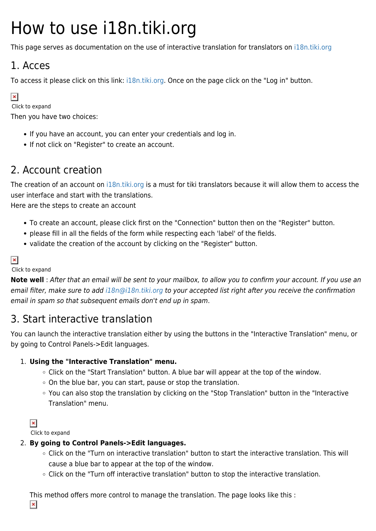# How to use i18n.tiki.org

This page serves as documentation on the use of interactive translation for translators on [i18n.tiki.org](http://i18n.tiki.org)

### 1. Acces

To access it please click on this link: [i18n.tiki.org.](http://i18n.tiki.org) Once on the page click on the "Log in" button.

#### $\vert x \vert$

Click to expand

Then you have two choices:

- If you have an account, you can enter your credentials and log in.
- If not click on "Register" to create an account.

### 2. Account creation

The creation of an account on [i18n.tiki.org](http://i18n.tiki.org) is a must for tiki translators because it will allow them to access the user interface and start with the translations.

Here are the steps to create an account

- To create an account, please click first on the "Connection" button then on the "Register" button.
- please fill in all the fields of the form while respecting each 'label' of the fields.
- validate the creation of the account by clicking on the "Register" button.

### $\pmb{\times}$

#### Click to expand

**Note well** : After that an email will be sent to your mailbox, to allow you to confirm your account. If you use an email filter, make sure to add [i18n@i18n.tiki.org](mailto:i18n@i18n.tiki.org) to your accepted list right after you receive the confirmation email in spam so that subsequent emails don't end up in spam.

### 3. Start interactive translation

You can launch the interactive translation either by using the buttons in the "Interactive Translation" menu, or by going to Control Panels->Edit languages.

#### 1. **Using the "Interactive Translation" menu.**

- Click on the "Start Translation" button. A blue bar will appear at the top of the window.
- On the blue bar, you can start, pause or stop the translation.
- You can also stop the translation by clicking on the "Stop Translation" button in the "Interactive Translation" menu.

 $\pmb{\times}$ 

Click to expand

#### 2. **By going to Control Panels->Edit languages.**

- Click on the "Turn on interactive translation" button to start the interactive translation. This will cause a blue bar to appear at the top of the window.
- Click on the "Turn off interactive translation" button to stop the interactive translation.

This method offers more control to manage the translation. The page looks like this :

 $\pmb{\times}$